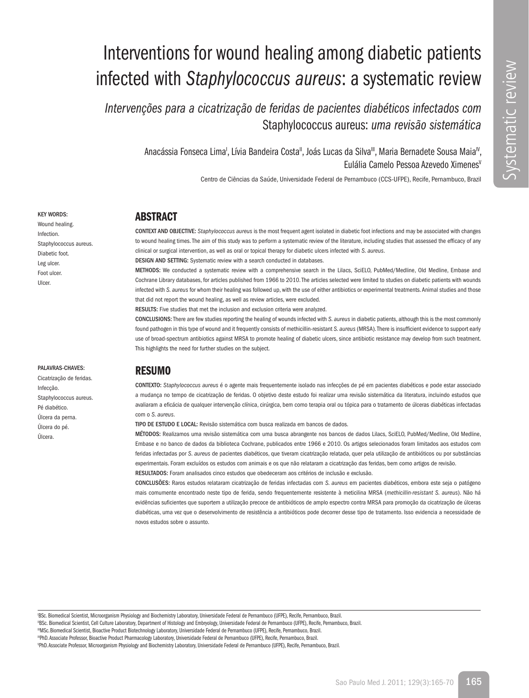# Interventions for wound healing among diabetic patients infected with *Staphylococcus aureus*: a systematic review

*Intervenções para a cicatrização de feridas de pacientes diabéticos infectados com*  Staphylococcus aureus: *uma revisão sistemática*

> Anacássia Fonseca Lima<sup>i</sup>, Lívia Bandeira Costa<sup>ii</sup>, Joás Lucas da Silva<sup>iii</sup>, Maria Bernadete Sousa Maia<sup>iv</sup>, Eulália Camelo Pessoa Azevedo Ximenes<sup>v</sup>

> > Centro de Ciências da Saúde, Universidade Federal de Pernambuco (CCS-UFPE), Recife, Pernambuco, Brazil

#### KEY WORDS:

Wound healing. Infection. Staphylococcus aureus. Diabetic foot. Leg ulcer. Foot ulcer. Ulcer.

#### **ARSTRACT**

CONTEXT AND OBJECTIVE: *Staphylococcus aureus* is the most frequent agent isolated in diabetic foot infections and may be associated with changes to wound healing times. The aim of this study was to perform a systematic review of the literature, including studies that assessed the efficacy of any clinical or surgical intervention, as well as oral or topical therapy for diabetic ulcers infected with *S. aureus*.

DESIGN AND SETTING: Systematic review with a search conducted in databases.

METHODS: We conducted a systematic review with a comprehensive search in the Lilacs, SciELO, PubMed/Medline, Old Medline, Embase and Cochrane Library databases, for articles published from 1966 to 2010. The articles selected were limited to studies on diabetic patients with wounds infected with *S. aureus* for whom their healing was followed up, with the use of either antibiotics or experimental treatments. Animal studies and those that did not report the wound healing, as well as review articles, were excluded.

RESULTS: Five studies that met the inclusion and exclusion criteria were analyzed.

CONCLUSIONS: There are few studies reporting the healing of wounds infected with *S. aureus* in diabetic patients, although this is the most commonly found pathogen in this type of wound and it frequently consists of methicillin-resistant *S. aureus* (MRSA). There is insufficient evidence to support early use of broad-spectrum antibiotics against MRSA to promote healing of diabetic ulcers, since antibiotic resistance may develop from such treatment. This highlights the need for further studies on the subject.

#### PALAVRAS-CHAVES:

Cicatrização de feridas. Infecção. Staphylococcus aureus. Pé diabético. Úlcera da perna. Úlcera do pé. Úlcera.

### RESUMO

CONTEXTO: *Staphylococcus aureus* é o agente mais frequentemente isolado nas infecções de pé em pacientes diabéticos e pode estar associado a mudança no tempo de cicatrização de feridas. O objetivo deste estudo foi realizar uma revisão sistemática da literatura, incluindo estudos que avaliaram a eficácia de qualquer intervenção clínica, cirúrgica, bem como terapia oral ou tópica para o tratamento de úlceras diabéticas infectadas com o *S. aureus*.

TIPO DE ESTUDO E LOCAL: Revisão sistemática com busca realizada em bancos de dados.

MÉTODOS: Realizamos uma revisão sistemática com uma busca abrangente nos bancos de dados Lilacs, SciELO, PubMed/Medline, Old Medline, Embase e no banco de dados da biblioteca Cochrane, publicados entre 1966 e 2010. Os artigos selecionados foram limitados aos estudos com feridas infectadas por S. aureus de pacientes diabéticos, que tiveram cicatrização relatada, quer pela utilização de antibióticos ou por substâncias experimentais. Foram excluídos os estudos com animais e os que não relataram a cicatrização das feridas, bem como artigos de revisão. RESULTADOS: Foram analisados cinco estudos que obedeceram aos critérios de inclusão e exclusão.

CONCLUSÕES: Raros estudos relataram cicatrização de feridas infectadas com *S. aureus* em pacientes diabéticos, embora este seja o patógeno mais comumente encontrado neste tipo de ferida, sendo frequentemente resistente à meticilina MRSA (*methicillin-resistant S. aureus*). Não há evidências suficientes que suportem a utilização precoce de antibióticos de amplo espectro contra MRSA para promoção da cicatrização de úlceras diabéticas, uma vez que o desenvolvimento de resistência a antibióticos pode decorrer desse tipo de tratamento. Isso evidencia a necessidade de novos estudos sobre o assunto.

I BSc. Biomedical Scientist, Microorganism Physiology and Biochemistry Laboratory, Universidade Federal de Pernambuco (UFPE), Recife, Pernambuco, Brazil.

IIBSc. Biomedical Scientist, Cell Culture Laboratory, Department of Histology and Embryology, Universidade Federal de Pernambuco (UFPE), Recife, Pernambuco, Brazil.

IIIMSc.Biomedical Scientist, Bioactive Product Biotechnology Laboratory, Universidade Federal de Pernambuco (UFPE), Recife, Pernambuco, Brazil.

IVPhD. Associate Professor, Bioactive Product Pharmacology Laboratory, Universidade Federal de Pernambuco (UFPE), Recife, Pernambuco, Brazil.

V PhD. Associate Professor, Microorganism Physiology and Biochemistry Laboratory, Universidade Federal de Pernambuco (UFPE), Recife, Pernambuco, Brazil.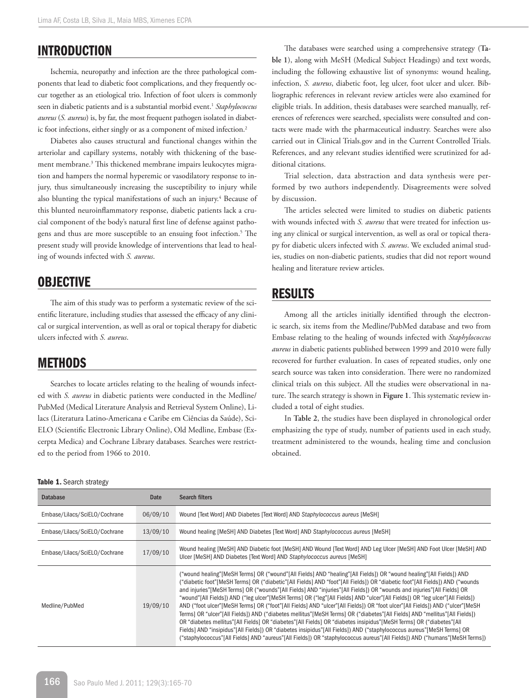## INTRODUCTION

Ischemia, neuropathy and infection are the three pathological components that lead to diabetic foot complications, and they frequently occur together as an etiological trio. Infection of foot ulcers is commonly seen in diabetic patients and is a substantial morbid event.<sup>1</sup> Staphylococcus *aureus* (*S. aureus*) is, by far, the most frequent pathogen isolated in diabetic foot infections, either singly or as a component of mixed infection.<sup>2</sup>

Diabetes also causes structural and functional changes within the arteriolar and capillary systems, notably with thickening of the basement membrane.3 This thickened membrane impairs leukocytes migration and hampers the normal hyperemic or vasodilatory response to injury, thus simultaneously increasing the susceptibility to injury while also blunting the typical manifestations of such an injury.4 Because of this blunted neuroinflammatory response, diabetic patients lack a crucial component of the body's natural first line of defense against pathogens and thus are more susceptible to an ensuing foot infection.5 The present study will provide knowledge of interventions that lead to healing of wounds infected with *S. aureus*.

### **OBJECTIVE**

The aim of this study was to perform a systematic review of the scientific literature, including studies that assessed the efficacy of any clinical or surgical intervention, as well as oral or topical therapy for diabetic ulcers infected with *S. aureus*.

### **METHODS**

Searches to locate articles relating to the healing of wounds infected with *S. aureus* in diabetic patients were conducted in the Medline/ PubMed (Medical Literature Analysis and Retrieval System Online), Lilacs (Literatura Latino-Americana e Caribe em Ciências da Saúde), Sci-ELO (Scientific Electronic Library Online), Old Medline, Embase (Excerpta Medica) and Cochrane Library databases. Searches were restricted to the period from 1966 to 2010.

#### Table 1. Search strategy

The databases were searched using a comprehensive strategy (**Table 1**), along with MeSH (Medical Subject Headings) and text words, including the following exhaustive list of synonyms: wound healing, infection, *S. aureus*, diabetic foot, leg ulcer, foot ulcer and ulcer. Bibliographic references in relevant review articles were also examined for eligible trials. In addition, thesis databases were searched manually, references of references were searched, specialists were consulted and contacts were made with the pharmaceutical industry. Searches were also carried out in Clinical Trials.gov and in the Current Controlled Trials. References, and any relevant studies identified were scrutinized for additional citations.

Trial selection, data abstraction and data synthesis were performed by two authors independently. Disagreements were solved by discussion.

The articles selected were limited to studies on diabetic patients with wounds infected with *S. aureus* that were treated for infection using any clinical or surgical intervention, as well as oral or topical therapy for diabetic ulcers infected with *S. aureus*. We excluded animal studies, studies on non-diabetic patients, studies that did not report wound healing and literature review articles.

### RESULTS

Among all the articles initially identified through the electronic search, six items from the Medline/PubMed database and two from Embase relating to the healing of wounds infected with *Staphylococcus aureus* in diabetic patients published between 1999 and 2010 were fully recovered for further evaluation. In cases of repeated studies, only one search source was taken into consideration. There were no randomized clinical trials on this subject. All the studies were observational in nature. The search strategy is shown in **Figure 1**. This systematic review included a total of eight studies.

In **Table 2**, the studies have been displayed in chronological order emphasizing the type of study, number of patients used in each study, treatment administered to the wounds, healing time and conclusion obtained.

| <b>Database</b>               | Date     | <b>Search filters</b>                                                                                                                                                                                                                                                                                                                                                                                                                                                                                                                                                                                                                                                                                                                                                                                                                                                                                                                                                                                                                                                                                                                                             |  |  |  |
|-------------------------------|----------|-------------------------------------------------------------------------------------------------------------------------------------------------------------------------------------------------------------------------------------------------------------------------------------------------------------------------------------------------------------------------------------------------------------------------------------------------------------------------------------------------------------------------------------------------------------------------------------------------------------------------------------------------------------------------------------------------------------------------------------------------------------------------------------------------------------------------------------------------------------------------------------------------------------------------------------------------------------------------------------------------------------------------------------------------------------------------------------------------------------------------------------------------------------------|--|--|--|
| Embase/Lilacs/SciELO/Cochrane | 06/09/10 | Wound [Text Word] AND Diabetes [Text Word] AND Staphylococcus aureus [MeSH]                                                                                                                                                                                                                                                                                                                                                                                                                                                                                                                                                                                                                                                                                                                                                                                                                                                                                                                                                                                                                                                                                       |  |  |  |
| Embase/Lilacs/SciELO/Cochrane | 13/09/10 | Wound healing [MeSH] AND Diabetes [Text Word] AND Staphylococcus aureus [MeSH]                                                                                                                                                                                                                                                                                                                                                                                                                                                                                                                                                                                                                                                                                                                                                                                                                                                                                                                                                                                                                                                                                    |  |  |  |
| Embase/Lilacs/SciELO/Cochrane | 17/09/10 | Wound healing [MeSH] AND Diabetic foot [MeSH] AND Wound [Text Word] AND Leg Ulcer [MeSH] AND Foot Ulcer [MeSH] AND<br>Ulcer [MeSH] AND Diabetes [Text Word] AND Staphylococcus aureus [MeSH]                                                                                                                                                                                                                                                                                                                                                                                                                                                                                                                                                                                                                                                                                                                                                                                                                                                                                                                                                                      |  |  |  |
| Medline/PubMed                | 19/09/10 | ("wound healing"[MeSH Terms] OR ("wound"[All Fields] AND "healing"[All Fields]) OR "wound healing"[All Fields]) AND<br>("diabetic foot"[MeSH Terms] OR ("diabetic"[All Fields] AND "foot"[All Fields]) OR "diabetic foot"[All Fields]) AND ("wounds<br>and injuries" [MeSH Terms] OR ("wounds" [All Fields] AND "injuries" [All Fields]) OR "wounds and injuries" [All Fields] OR<br>"wound"[All Fields]) AND ("leg ulcer"[MeSH Terms] OR ("leg"[All Fields] AND "ulcer"[All Fields]) OR "leg ulcer"[All Fields])<br>AND ("foot ulcer"[MeSH Terms] OR ("foot"[All Fields] AND "ulcer"[All Fields]) OR "foot ulcer"[All Fields]) AND ("ulcer"[MeSH<br>Terms) OR "ulcer"[All Fields]) AND ("diabetes mellitus"[MeSH Terms] OR ("diabetes"[All Fields] AND "mellitus"[All Fields])<br>OR "diabetes mellitus" [All Fields] OR "diabetes" [All Fields] OR "diabetes insipidus" [MeSH Terms] OR ("diabetes" [All<br>Fields] AND "insipidus"[All Fields]) OR "diabetes insipidus"[All Fields]) AND ("staphylococcus aureus"[MeSH Terms] OR<br>("staphylococcus"[All Fields] AND "aureus"[All Fields]) OR "staphylococcus aureus"[All Fields]) AND ("humans"[MeSH Terms]) |  |  |  |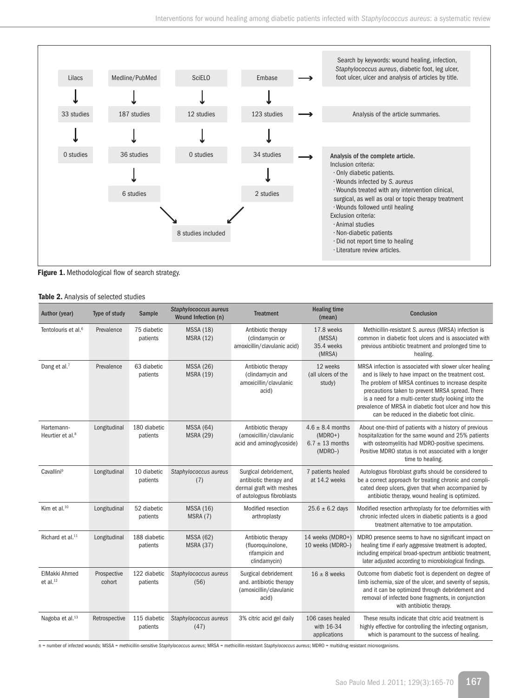

Figure 1. Methodological flow of search strategy.

#### Table 2. Analysis of selected studies

| Author (year)                              | Type of study         | Sample                   | Staphylococcus aureus<br>Wound Infection (n) | <b>Treatment</b>                                                                                         | <b>Healing time</b><br>(mean)                                         | Conclusion                                                                                                                                                                                                                                                                                                                                                                            |
|--------------------------------------------|-----------------------|--------------------------|----------------------------------------------|----------------------------------------------------------------------------------------------------------|-----------------------------------------------------------------------|---------------------------------------------------------------------------------------------------------------------------------------------------------------------------------------------------------------------------------------------------------------------------------------------------------------------------------------------------------------------------------------|
| Tentolouris et al. <sup>6</sup>            | Prevalence            | 75 diabetic<br>patients  | <b>MSSA (18)</b><br><b>MSRA (12)</b>         | Antibiotic therapy<br>(clindamycin or<br>amoxicillin/clavulanic acid)                                    | 17.8 weeks<br>(MSSA)<br>35.4 weeks<br>(MRSA)                          | Methicillin-resistant S. aureus (MRSA) infection is<br>common in diabetic foot ulcers and is associated with<br>previous antibiotic treatment and prolonged time to<br>healing.                                                                                                                                                                                                       |
| Dang et al. <sup>7</sup>                   | Prevalence            | 63 diabetic<br>patients  | <b>MSSA (26)</b><br><b>MSRA (19)</b>         | Antibiotic therapy<br>(clindamycin and<br>amoxicillin/clavulanic<br>acid)                                | 12 weeks<br>(all ulcers of the<br>study)                              | MRSA infection is associated with slower ulcer healing<br>and is likely to have impact on the treatment cost.<br>The problem of MRSA continues to increase despite<br>precautions taken to prevent MRSA spread. There<br>is a need for a multi-center study looking into the<br>prevalence of MRSA in diabetic foot ulcer and how this<br>can be reduced in the diabetic foot clinic. |
| Hartemann-<br>Heurtier et al. <sup>8</sup> | Longitudinal          | 180 diabetic<br>patients | <b>MSSA (64)</b><br><b>MSRA (29)</b>         | Antibiotic therapy<br>(amoxicillin/clavulanic<br>acid and aminoglycoside)                                | $4.6 \pm 8.4$ months<br>$(MDRO+)$<br>$6.7 \pm 13$ months<br>$(MDRO-)$ | About one-third of patients with a history of previous<br>hospitalization for the same wound and 25% patients<br>with osteomyelitis had MDRO-positive specimens.<br>Positive MDRO status is not associated with a longer<br>time to healing.                                                                                                                                          |
| Cavallini <sup>9</sup>                     | Longitudinal          | 10 diabetic<br>patients  | Staphylococcus aureus<br>(7)                 | Surgical debridement,<br>antibiotic therapy and<br>dermal graft with meshes<br>of autologous fibroblasts | 7 patients healed<br>at 14.2 weeks                                    | Autologous fibroblast grafts should be considered to<br>be a correct approach for treating chronic and compli-<br>cated deep ulcers, given that when accompanied by<br>antibiotic therapy, wound healing is optimized.                                                                                                                                                                |
| Kim et al. <sup>10</sup>                   | Longitudinal          | 52 diabetic<br>patients  | <b>MSSA (16)</b><br>MSRA(7)                  | Modified resection<br>arthroplasty                                                                       | $25.6 \pm 6.2$ days                                                   | Modified resection arthroplasty for toe deformities with<br>chronic infected ulcers in diabetic patients is a good<br>treatment alternative to toe amputation.                                                                                                                                                                                                                        |
| Richard et al. <sup>11</sup>               | Longitudinal          | 188 diabetic<br>patients | <b>MSSA (62)</b><br><b>MSRA (37)</b>         | Antibiotic therapy<br>(fluoroquinolone,<br>rifampicin and<br>clindamycin)                                | 14 weeks (MDRO+)<br>10 weeks (MDRO-)                                  | MDRO presence seems to have no significant impact on<br>healing time if early aggressive treatment is adopted.<br>including empirical broad-spectrum antibiotic treatment,<br>later adjusted according to microbiological findings.                                                                                                                                                   |
| ElMakki Ahmed<br>et al. $12$               | Prospective<br>cohort | 122 diabetic<br>patients | Staphylococcus aureus<br>(56)                | Surgical debridement<br>and. antibiotic therapy<br>(amoxicillin/clavulanic<br>acid)                      | $16 \pm 8$ weeks                                                      | Outcome from diabetic foot is dependent on degree of<br>limb ischemia, size of the ulcer, and severity of sepsis,<br>and it can be optimized through debridement and<br>removal of infected bone fragments, in conjunction<br>with antibiotic therapy.                                                                                                                                |
| Nagoba et al. <sup>13</sup>                | Retrospective         | 115 diabetic<br>patients | Staphylococcus aureus<br>(47)                | 3% citric acid gel daily                                                                                 | 106 cases healed<br>with 16-34<br>applications                        | These results indicate that citric acid treatment is<br>highly effective for controlling the infecting organism,<br>which is paramount to the success of healing.                                                                                                                                                                                                                     |

n = number of infected wounds; MSSA = methicillin-sensitive *Staphylococcus aureus*; MRSA = methicillin-resistant *Staphylococcus aureus*; MDRO = multidrug resistant microorganisms.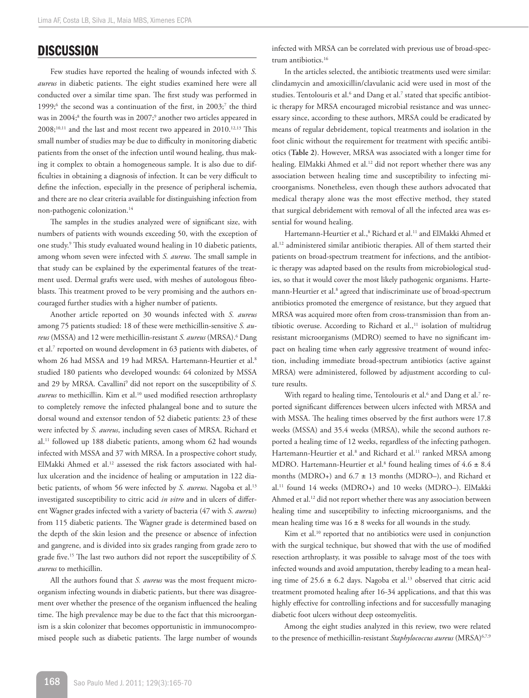### **DISCUSSION**

Few studies have reported the healing of wounds infected with *S. aureus* in diabetic patients. The eight studies examined here were all conducted over a similar time span. The first study was performed in 1999;<sup>6</sup> the second was a continuation of the first, in 2003;<sup>7</sup> the third was in 2004;<sup>8</sup> the fourth was in 2007;<sup>9</sup> another two articles appeared in  $2008;^{10,11}$  and the last and most recent two appeared in  $2010.^{12,13}$  This small number of studies may be due to difficulty in monitoring diabetic patients from the onset of the infection until wound healing, thus making it complex to obtain a homogeneous sample. It is also due to difficulties in obtaining a diagnosis of infection. It can be very difficult to define the infection, especially in the presence of peripheral ischemia, and there are no clear criteria available for distinguishing infection from non-pathogenic colonization.14

The samples in the studies analyzed were of significant size, with numbers of patients with wounds exceeding 50, with the exception of one study.9 This study evaluated wound healing in 10 diabetic patients, among whom seven were infected with *S. aureus*. The small sample in that study can be explained by the experimental features of the treatment used. Dermal grafts were used, with meshes of autologous fibroblasts. This treatment proved to be very promising and the authors encouraged further studies with a higher number of patients.

Another article reported on 30 wounds infected with *S. aureus* among 75 patients studied: 18 of these were methicillin-sensitive *S. aureus* (MSSA) and 12 were methicillin-resistant *S. aureus* (MRSA).6 Dang et al.7 reported on wound development in 63 patients with diabetes, of whom 26 had MSSA and 19 had MRSA. Hartemann-Heurtier et al.<sup>8</sup> studied 180 patients who developed wounds: 64 colonized by MSSA and 29 by MRSA. Cavallini9 did not report on the susceptibility of *S. aureus* to methicillin. Kim et al.10 used modified resection arthroplasty to completely remove the infected phalangeal bone and to suture the dorsal wound and extensor tendon of 52 diabetic patients: 23 of these were infected by *S. aureus*, including seven cases of MRSA. Richard et al.11 followed up 188 diabetic patients, among whom 62 had wounds infected with MSSA and 37 with MRSA. In a prospective cohort study, ElMakki Ahmed et al.<sup>12</sup> assessed the risk factors associated with hallux ulceration and the incidence of healing or amputation in 122 diabetic patients, of whom 56 were infected by *S. aureus*. Nagoba et al.<sup>13</sup> investigated susceptibility to citric acid *in vitro* and in ulcers of different Wagner grades infected with a variety of bacteria (47 with *S. aureus*) from 115 diabetic patients. The Wagner grade is determined based on the depth of the skin lesion and the presence or absence of infection and gangrene, and is divided into six grades ranging from grade zero to grade five.15 The last two authors did not report the susceptibility of *S. aureus* to methicillin.

All the authors found that *S. aureus* was the most frequent microorganism infecting wounds in diabetic patients, but there was disagreement over whether the presence of the organism influenced the healing time. The high prevalence may be due to the fact that this microorganism is a skin colonizer that becomes opportunistic in immunocompromised people such as diabetic patients. The large number of wounds infected with MRSA can be correlated with previous use of broad-spectrum antibiotics.<sup>16</sup>

In the articles selected, the antibiotic treatments used were similar: clindamycin and amoxicillin/clavulanic acid were used in most of the studies. Tentolouris et al. $^6$  and Dang et al. $^7$  stated that specific antibiotic therapy for MRSA encouraged microbial resistance and was unnecessary since, according to these authors, MRSA could be eradicated by means of regular debridement, topical treatments and isolation in the foot clinic without the requirement for treatment with specific antibiotics **(Table 2)**. However, MRSA was associated with a longer time for healing. ElMakki Ahmed et al.<sup>12</sup> did not report whether there was any association between healing time and susceptibility to infecting microorganisms. Nonetheless, even though these authors advocated that medical therapy alone was the most effective method, they stated that surgical debridement with removal of all the infected area was essential for wound healing.

Hartemann-Heurtier et al.,<sup>8</sup> Richard et al.<sup>11</sup> and ElMakki Ahmed et al.12 administered similar antibiotic therapies. All of them started their patients on broad-spectrum treatment for infections, and the antibiotic therapy was adapted based on the results from microbiological studies, so that it would cover the most likely pathogenic organisms. Hartemann-Heurtier et al.<sup>8</sup> agreed that indiscriminate use of broad-spectrum antibiotics promoted the emergence of resistance, but they argued that MRSA was acquired more often from cross-transmission than from antibiotic overuse. According to Richard et al.,<sup>11</sup> isolation of multidrug resistant microorganisms (MDRO) seemed to have no significant impact on healing time when early aggressive treatment of wound infection, including immediate broad-spectrum antibiotics (active against MRSA) were administered, followed by adjustment according to culture results.

With regard to healing time, Tentolouris et al.<sup>6</sup> and Dang et al.<sup>7</sup> reported significant differences between ulcers infected with MRSA and with MSSA. The healing times observed by the first authors were 17.8 weeks (MSSA) and 35.4 weeks (MRSA), while the second authors reported a healing time of 12 weeks, regardless of the infecting pathogen. Hartemann-Heurtier et al.<sup>8</sup> and Richard et al.<sup>11</sup> ranked MRSA among MDRO. Hartemann-Heurtier et al.<sup>8</sup> found healing times of  $4.6 \pm 8.4$ months (MDRO+) and  $6.7 \pm 13$  months (MDRO-), and Richard et al.11 found 14 weeks (MDRO+) and 10 weeks (MDRO–). ElMakki Ahmed et al.<sup>12</sup> did not report whether there was any association between healing time and susceptibility to infecting microorganisms, and the mean healing time was  $16 \pm 8$  weeks for all wounds in the study.

Kim et al.<sup>10</sup> reported that no antibiotics were used in conjunction with the surgical technique, but showed that with the use of modified resection arthroplasty, it was possible to salvage most of the toes with infected wounds and avoid amputation, thereby leading to a mean healing time of 25.6  $\pm$  6.2 days. Nagoba et al.<sup>13</sup> observed that citric acid treatment promoted healing after 16-34 applications, and that this was highly effective for controlling infections and for successfully managing diabetic foot ulcers without deep osteomyelitis.

Among the eight studies analyzed in this review, two were related to the presence of methicillin-resistant *Staphylococcus aureus* (MRSA)6,7,9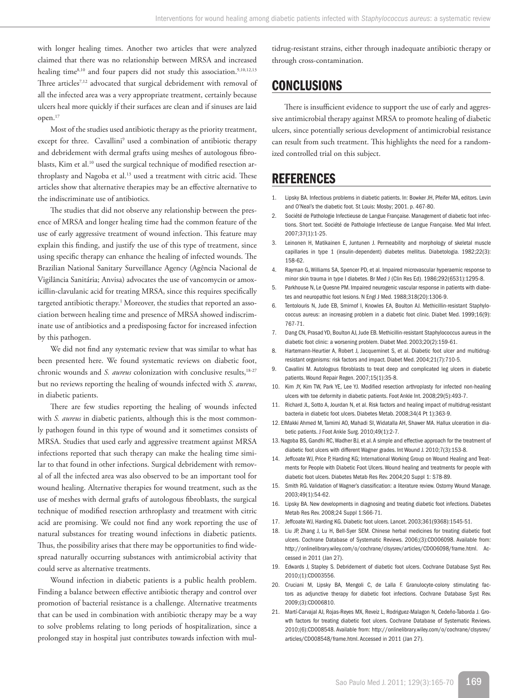with longer healing times. Another two articles that were analyzed claimed that there was no relationship between MRSA and increased healing time<sup>8,10</sup> and four papers did not study this association.<sup>9,10,12,13</sup> Three articles<sup>7,12</sup> advocated that surgical debridement with removal of all the infected area was a very appropriate treatment, certainly because ulcers heal more quickly if their surfaces are clean and if sinuses are laid open.17

Most of the studies used antibiotic therapy as the priority treatment, except for three. Cavallini<sup>9</sup> used a combination of antibiotic therapy and debridement with dermal grafts using meshes of autologous fibroblasts, Kim et al.<sup>10</sup> used the surgical technique of modified resection arthroplasty and Nagoba et al.<sup>13</sup> used a treatment with citric acid. These articles show that alternative therapies may be an effective alternative to the indiscriminate use of antibiotics.

The studies that did not observe any relationship between the presence of MRSA and longer healing time had the common feature of the use of early aggressive treatment of wound infection. This feature may explain this finding, and justify the use of this type of treatment, since using specific therapy can enhance the healing of infected wounds. The Brazilian National Sanitary Surveillance Agency (Agência Nacional de Vigilância Sanitária; Anvisa) advocates the use of vancomycin or amoxicillin-clavulanic acid for treating MRSA, since this requires specifically targeted antibiotic therapy.<sup>1</sup> Moreover, the studies that reported an association between healing time and presence of MRSA showed indiscriminate use of antibiotics and a predisposing factor for increased infection by this pathogen.

We did not find any systematic review that was similar to what has been presented here. We found systematic reviews on diabetic foot, chronic wounds and *S. aureus* colonization with conclusive results,<sup>18-27</sup> but no reviews reporting the healing of wounds infected with *S. aureus*, in diabetic patients.

There are few studies reporting the healing of wounds infected with *S. aureus* in diabetic patients, although this is the most commonly pathogen found in this type of wound and it sometimes consists of MRSA. Studies that used early and aggressive treatment against MRSA infections reported that such therapy can make the healing time similar to that found in other infections. Surgical debridement with removal of all the infected area was also observed to be an important tool for wound healing. Alternative therapies for wound treatment, such as the use of meshes with dermal grafts of autologous fibroblasts, the surgical technique of modified resection arthroplasty and treatment with citric acid are promising. We could not find any work reporting the use of natural substances for treating wound infections in diabetic patients. Thus, the possibility arises that there may be opportunities to find widespread naturally occurring substances with antimicrobial activity that could serve as alternative treatments.

Wound infection in diabetic patients is a public health problem. Finding a balance between effective antibiotic therapy and control over promotion of bacterial resistance is a challenge. Alternative treatments that can be used in combination with antibiotic therapy may be a way to solve problems relating to long periods of hospitalization, since a prolonged stay in hospital just contributes towards infection with multidrug-resistant strains, either through inadequate antibiotic therapy or through cross-contamination.

# **CONCLUSIONS**

There is insufficient evidence to support the use of early and aggressive antimicrobial therapy against MRSA to promote healing of diabetic ulcers, since potentially serious development of antimicrobial resistance can result from such treatment. This highlights the need for a randomized controlled trial on this subject.

## REFERENCES

- 1. Lipsky BA. Infectious problems in diabetic patients. In: Bowker JH, Pfeifer MA, editors. Levin and O'Neal's the diabetic foot. St Louis: Mosby; 2001. p. 467-80.
- 2. Société de Pathologie Infectieuse de Langue Française. Management of diabetic foot infections. Short text. Société de Pathologie Infectieuse de Langue Française. Med Mal Infect. 2007;37(1):1-25.
- 3. Leinonen H, Matikainen E, Juntunen J. Permeability and morphology of skeletal muscle capillaries in type 1 (insulin-dependent) diabetes mellitus. Diabetologia. 1982;22(3): 158-62.
- 4. Rayman G, Williams SA, Spencer PD, et al. Impaired microvascular hyperaemic response to minor skin trauma in type I diabetes. Br Med J (Clin Res Ed). 1986;292(6531):1295-8.
- 5. Parkhouse N, Le Quesne PM. Impaired neurogenic vascular response in patients with diabetes and neuropathic foot lesions. N Engl J Med. 1988;318(20):1306-9.
- 6. Tentolouris N, Jude EB, Smirnof I, Knowles EA, Boulton AJ. Methicillin-resistant Staphylococcus aureus: an increasing problem in a diabetic foot clinic. Diabet Med. 1999;16(9): 767-71.
- 7. Dang CN, Prasad YD, Boulton AJ, Jude EB. Methicillin-resistant Staphylococcus aureus in the diabetic foot clinic: a worsening problem. Diabet Med. 2003;20(2):159-61.
- 8. Hartemann-Heurtier A, Robert J, Jacqueminet S, et al. Diabetic foot ulcer and multidrugresistant organisms: risk factors and impact. Diabet Med. 2004;21(7):710-5.
- 9. Cavallini M. Autologous fibroblasts to treat deep and complicated leg ulcers in diabetic patients. Wound Repair Regen. 2007;15(1):35-8.
- 10. Kim JY, Kim TW, Park YE, Lee YJ. Modified resection arthroplasty for infected non-healing ulcers with toe deformity in diabetic patients. Foot Ankle Int. 2008;29(5):493-7.
- 11. Richard JL, Sotto A, Jourdan N, et al. Risk factors and healing impact of multidrug-resistant bacteria in diabetic foot ulcers. Diabetes Metab. 2008;34(4 Pt 1):363-9.
- 12. ElMakki Ahmed M, Tamimi AO, Mahadi SI, Widatalla AH, Shawer MA. Hallux ulceration in diabetic patients. J Foot Ankle Surg. 2010;49(1):2-7.
- 13. Nagoba BS, Gandhi RC, Wadher BJ, et al. A simple and effective approach for the treatment of diabetic foot ulcers with different Wagner grades. Int Wound J. 2010;7(3):153-8.
- 14. Jeffcoate WJ, Price P, Harding KG; International Working Group on Wound Healing and Treatments for People with Diabetic Foot Ulcers. Wound healing and treatments for people with diabetic foot ulcers. Diabetes Metab Res Rev. 2004;20 Suppl 1: S78-89.
- 15. Smith RG. Validation of Wagner's classification: a literature review. Ostomy Wound Manage. 2003;49(1):54-62.
- 16. Lipsky BA. New developments in diagnosing and treating diabetic foot infections. Diabetes Metab Res Rev. 2008;24 Suppl 1:S66-71.
- 17. Jeffcoate WJ, Harding KG. Diabetic foot ulcers. Lancet. 2003;361(9368):1545-51.
- 18. Liu JP, Zhang J, Lu H, Bell-Syer SEM. Chinese herbal medicines for treating diabetic foot ulcers. Cochrane Database of Systematic Reviews. 2006;(3):CD006098. Available from: http://onlinelibrary.wiley.com/o/cochrane/clsysrev/articles/CD006098/frame.html. Accessed in 2011 (Jan 27).
- 19. Edwards J, Stapley S. Debridement of diabetic foot ulcers. Cochrane Database Syst Rev. 2010;(1):CD003556.
- 20. Cruciani M, Lipsky BA, Mengoli C, de Lalla F. Granulocyte-colony stimulating factors as adjunctive therapy for diabetic foot infections. Cochrane Database Syst Rev. 2009;(3):CD006810.
- 21. Martí-Carvajal AJ, Rojas-Reyes MX, Reveiz L, Rodriguez-Malagon N, Cedeño-Taborda J. Growth factors for treating diabetic foot ulcers. Cochrane Database of Systematic Reviews. 2010;(6):CD008548. Available from: http://onlinelibrary.wiley.com/o/cochrane/clsysrev/ articles/CD008548/frame.html. Accessed in 2011 (Jan 27).